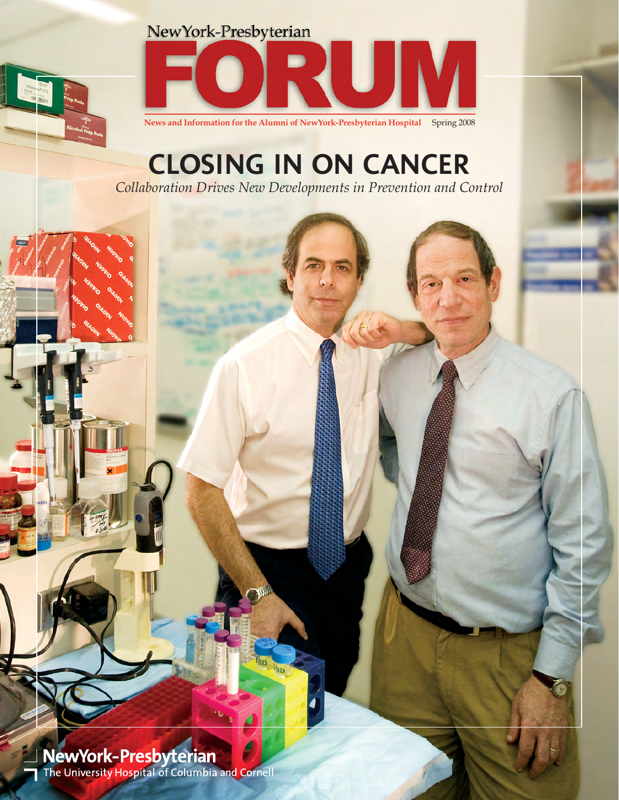## NewYork-Presbyterian



News and Information for the Alumni of NewYork-Presbyterian Hospital Spring 2008

# CLOSING IN ON CANCER

*Collaboration Drives New Developments in Prevention and Control*

**NewYork-Presbyterian**<br>The University Hospital of Columbia and Cornell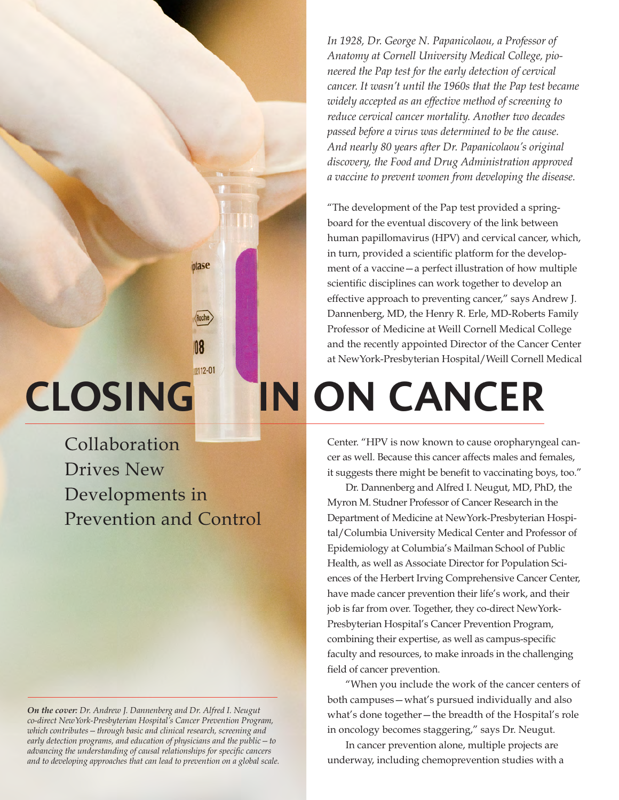Collaboration Drives New Developments in Prevention and Control

ptase

10112-01

*On the cover: Dr. Andrew J. Dannenberg and Dr. Alfred I. Neugut co-direct NewYork-Presbyterian Hospital's Cancer Prevention Program, which contributes—through basic and clinical research, screening and early detection programs, and education of physicians and the public—to advancing the understanding of causal relationships for specific cancers and to developing approaches that can lead to prevention on a global scale.* *Anatomy at Cornell University Medical College, pioneered the Pap test for the early detection of cervical cancer. It wasn't until the 1960s that the Pap test became widely accepted as an effective method of screening to reduce cervical cancer mortality. Another two decades passed before a virus was determined to be the cause. And nearly 80 years after Dr. Papanicolaou's original discovery, the Food and Drug Administration approved a vaccine to prevent women from developing the disease.* "The development of the Pap test provided a spring-

*In 1928, Dr. George N. Papanicolaou, a Professor of*

board for the eventual discovery of the link between human papillomavirus (HPV) and cervical cancer, which, in turn, provided a scientific platform for the development of a vaccine—a perfect illustration of how multiple scientific disciplines can work together to develop an effective approach to preventing cancer," says Andrew J. Dannenberg, MD, the Henry R. Erle, MD-Roberts Family Professor of Medicine at Weill Cornell Medical College and the recently appointed Director of the Cancer Center at NewYork-Presbyterian Hospital/Weill Cornell Medical

# CLOSING IN ON CANCER

Center. "HPV is now known to cause oropharyngeal cancer as well. Because this cancer affects males and females, it suggests there might be benefit to vaccinating boys, too."

Dr. Dannenberg and Alfred I. Neugut, MD, PhD, the Myron M. Studner Professor of Cancer Research in the Department of Medicine at NewYork-Presbyterian Hospital/Columbia University Medical Center and Professor of Epidemiology at Columbia's Mailman School of Public Health, as well as Associate Director for Population Sciences of the Herbert Irving Comprehensive Cancer Center, have made cancer prevention their life's work, and their job is far from over. Together, they co-direct NewYork-Presbyterian Hospital's Cancer Prevention Program, combining their expertise, as well as campus-specific faculty and resources, to make inroads in the challenging field of cancer prevention.

"When you include the work of the cancer centers of both campuses—what's pursued individually and also what's done together—the breadth of the Hospital's role in oncology becomes staggering," says Dr. Neugut.

In cancer prevention alone, multiple projects are underway, including chemoprevention studies with a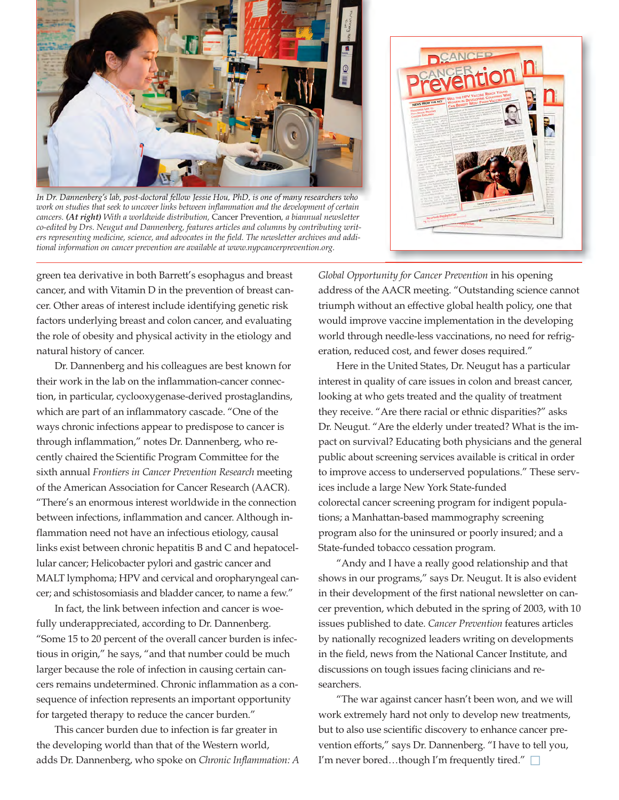

*In Dr. Dannenberg's lab, post-doctoral fellow Jessie Hou, PhD, is one of many researchers who work on studies that seek to uncover links between inflammation and the development of certain cancers. (At right) With a worldwide distribution,* Cancer Prevention*, a biannual newsletter co-edited by Drs. Neugut and Dannenberg, features articles and columns by contributing writers representing medicine, science, and advocates in the field. The newsletter archives and additional information on cancer prevention are available at www.nypcancerprevention.org.*



green tea derivative in both Barrett's esophagus and breast cancer, and with Vitamin D in the prevention of breast cancer. Other areas of interest include identifying genetic risk factors underlying breast and colon cancer, and evaluating the role of obesity and physical activity in the etiology and natural history of cancer.

Dr. Dannenberg and his colleagues are best known for their work in the lab on the inflammation-cancer connection, in particular, cyclooxygenase-derived prostaglandins, which are part of an inflammatory cascade. "One of the ways chronic infections appear to predispose to cancer is through inflammation," notes Dr. Dannenberg, who recently chaired the Scientific Program Committee for the sixth annual *Frontiers in Cancer Prevention Research* meeting of the American Association for Cancer Research (AACR). "There's an enormous interest worldwide in the connection between infections, inflammation and cancer. Although inflammation need not have an infectious etiology, causal links exist between chronic hepatitis B and C and hepatocellular cancer; Helicobacter pylori and gastric cancer and MALT lymphoma; HPV and cervical and oropharyngeal cancer; and schistosomiasis and bladder cancer, to name a few."

In fact, the link between infection and cancer is woefully underappreciated, according to Dr. Dannenberg. "Some 15 to 20 percent of the overall cancer burden is infectious in origin," he says, "and that number could be much larger because the role of infection in causing certain cancers remains undetermined. Chronic inflammation as a consequence of infection represents an important opportunity for targeted therapy to reduce the cancer burden."

This cancer burden due to infection is far greater in the developing world than that of the Western world, adds Dr. Dannenberg, who spoke on *Chronic Inflammation: A* *Global Opportunity for Cancer Prevention* in his opening address of the AACR meeting. "Outstanding science cannot triumph without an effective global health policy, one that would improve vaccine implementation in the developing world through needle-less vaccinations, no need for refrigeration, reduced cost, and fewer doses required."

Here in the United States, Dr. Neugut has a particular interest in quality of care issues in colon and breast cancer, looking at who gets treated and the quality of treatment they receive. "Are there racial or ethnic disparities?" asks Dr. Neugut. "Are the elderly under treated? What is the impact on survival? Educating both physicians and the general public about screening services available is critical in order to improve access to underserved populations." These services include a large New York State-funded colorectal cancer screening program for indigent populations; a Manhattan-based mammography screening program also for the uninsured or poorly insured; and a State-funded tobacco cessation program.

"Andy and I have a really good relationship and that shows in our programs," says Dr. Neugut. It is also evident in their development of the first national newsletter on cancer prevention, which debuted in the spring of 2003, with 10 issues published to date. *Cancer Prevention* features articles by nationally recognized leaders writing on developments in the field, news from the National Cancer Institute, and discussions on tough issues facing clinicians and researchers.

"The war against cancer hasn't been won, and we will work extremely hard not only to develop new treatments, but to also use scientific discovery to enhance cancer prevention efforts," says Dr. Dannenberg. "I have to tell you, I'm never bored...though I'm frequently tired."  $\Box$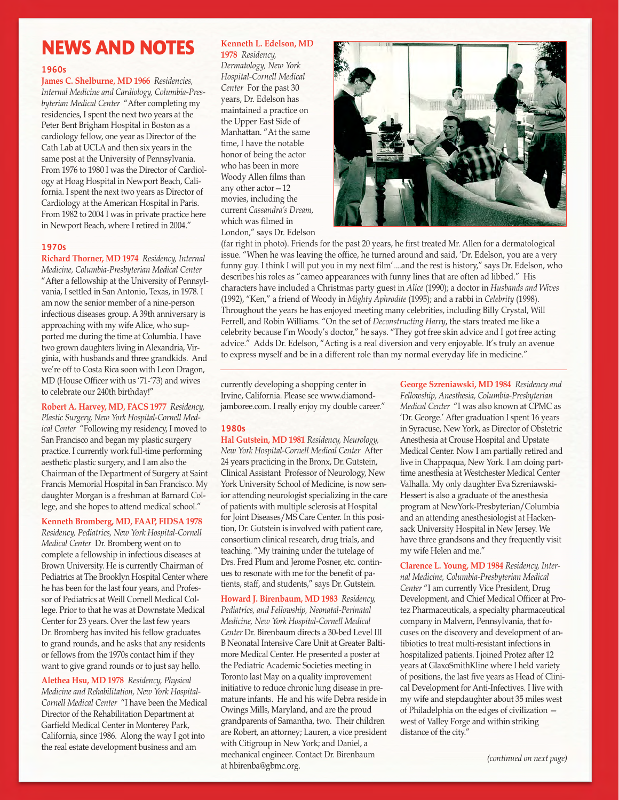# **NEWS AND NOTES**

### 1960s

**James C. Shelburne, MD 1966** *Residencies, Internal Medicine and Cardiology, Columbia-Presbyterian Medical Center* "After completing my residencies, I spent the next two years at the Peter Bent Brigham Hospital in Boston as a cardiology fellow, one year as Director of the Cath Lab at UCLA and then six years in the same post at the University of Pennsylvania. From 1976 to 1980 I was the Director of Cardiology at Hoag Hospital in Newport Beach, California. I spent the next two years as Director of Cardiology at the American Hospital in Paris. From 1982 to 2004 I was in private practice here in Newport Beach, where I retired in 2004."

### 1970s

**Richard Thorner, MD 1974** *Residency, Internal Medicine, Columbia-Presbyterian Medical Center* "After a fellowship at the University of Pennsylvania, I settled in San Antonio, Texas, in 1978. I am now the senior member of a nine-person infectious diseases group. A 39th anniversary is approaching with my wife Alice, who supported me during the time at Columbia. I have two grown daughters living in Alexandria, Virginia, with husbands and three grandkids. And we're off to Costa Rica soon with Leon Dragon, MD (House Officer with us '71-'73) and wives to celebrate our 240th birthday!"

**Robert A. Harvey, MD, FACS 1977** *Residency, Plastic Surgery, New York Hospital-Cornell Medical Center* "Following my residency, I moved to San Francisco and began my plastic surgery practice. I currently work full-time performing aesthetic plastic surgery, and I am also the Chairman of the Department of Surgery at Saint Francis Memorial Hospital in San Francisco. My daughter Morgan is a freshman at Barnard College, and she hopes to attend medical school."

**Kenneth Bromberg, MD, FAAP, FIDSA 1978** *Residency, Pediatrics, New York Hospital-Cornell Medical Center* Dr. Bromberg went on to complete a fellowship in infectious diseases at Brown University. He is currently Chairman of Pediatrics at The Brooklyn Hospital Center where he has been for the last four years, and Professor of Pediatrics at Weill Cornell Medical College. Prior to that he was at Downstate Medical Center for 23 years. Over the last few years Dr. Bromberg has invited his fellow graduates to grand rounds, and he asks that any residents or fellows from the 1970s contact him if they want to give grand rounds or to just say hello.

**Alethea Hsu, MD 1978** *Residency, Physical Medicine and Rehabilitation, New York Hospital-Cornell Medical Center* "I have been the Medical Director of the Rehabilitation Department at Garfield Medical Center in Monterey Park, California, since 1986. Along the way I got into the real estate development business and am

### **Kenneth L. Edelson, MD**

**1978** *Residency, Dermatology, New York Hospital-Cornell Medical Center* For the past 30 years, Dr. Edelson has maintained a practice on the Upper East Side of Manhattan. "At the same time, I have the notable honor of being the actor who has been in more Woody Allen films than any other actor—12 movies, including the current *Cassandra's Dream*, which was filmed in London," says Dr. Edelson



(far right in photo). Friends for the past 20 years, he first treated Mr. Allen for a dermatological issue. "When he was leaving the office, he turned around and said, 'Dr. Edelson, you are a very funny guy. I think I will put you in my next film'....and the rest is history," says Dr. Edelson, who describes his roles as "cameo appearances with funny lines that are often ad libbed." His characters have included a Christmas party guest in *Alice* (1990); a doctor in *Husbands and Wives* (1992), "Ken," a friend of Woody in *Mighty Aphrodite* (1995); and a rabbi in *Celebrity* (1998). Throughout the years he has enjoyed meeting many celebrities, including Billy Crystal, Will Ferrell, and Robin Williams. "On the set of *Deconstructing Harry*, the stars treated me like a celebrity because I'm Woody's doctor," he says. "They got free skin advice and I got free acting advice." Adds Dr. Edelson, "Acting is a real diversion and very enjoyable. It's truly an avenue to express myself and be in a different role than my normal everyday life in medicine."

currently developing a shopping center in Irvine, California. Please see www.diamondjamboree.com. I really enjoy my double career."

### 1980s

**Hal Gutstein, MD 1981** *Residency, Neurology, New York Hospital-Cornell Medical Center* After 24 years practicing in the Bronx, Dr. Gutstein, Clinical Assistant Professor of Neurology, New York University School of Medicine, is now senior attending neurologist specializing in the care of patients with multiple sclerosis at Hospital for Joint Diseases/MS Care Center. In this position, Dr. Gutstein is involved with patient care, consortium clinical research, drug trials, and teaching. "My training under the tutelage of Drs. Fred Plum and Jerome Posner, etc. continues to resonate with me for the benefit of patients, staff, and students," says Dr. Gutstein.

**Howard J. Birenbaum, MD 1983** *Residency, Pediatrics, and Fellowship, Neonatal-Perinatal Medicine, New York Hospital-Cornell Medical Center* Dr. Birenbaum directs a 30-bed Level III B Neonatal Intensive Care Unit at Greater Baltimore Medical Center. He presented a poster at the Pediatric Academic Societies meeting in Toronto last May on a quality improvement initiative to reduce chronic lung disease in premature infants. He and his wife Debra reside in Owings Mills, Maryland, and are the proud grandparents of Samantha, two. Their children are Robert, an attorney; Lauren, a vice president with Citigroup in New York; and Daniel, a mechanical engineer. Contact Dr. Birenbaum at hbirenba@gbmc.org.

**George Szreniawski, MD 1984** *Residency and Fellowship, Anesthesia, Columbia-Presbyterian Medical Center* "I was also known at CPMC as 'Dr. George.' After graduation I spent 16 years in Syracuse, New York, as Director of Obstetric Anesthesia at Crouse Hospital and Upstate Medical Center. Now I am partially retired and live in Chappaqua, New York. I am doing parttime anesthesia at Westchester Medical Center Valhalla. My only daughter Eva Szreniawski-Hessert is also a graduate of the anesthesia program at NewYork-Presbyterian/Columbia and an attending anesthesiologist at Hackensack University Hospital in New Jersey. We have three grandsons and they frequently visit my wife Helen and me."

**Clarence L. Young, MD 1984** *Residency, Internal Medicine, Columbia-Presbyterian Medical Center* "I am currently Vice President, Drug Development, and Chief Medical Officer at Protez Pharmaceuticals, a specialty pharmaceutical company in Malvern, Pennsylvania, that focuses on the discovery and development of antibiotics to treat multi-resistant infections in hospitalized patients. I joined Protez after 12 years at GlaxoSmithKline where I held variety of positions, the last five years as Head of Clinical Development for Anti-Infectives. I live with my wife and stepdaughter about 35 miles west of Philadelphia on the edges of civilization west of Valley Forge and within striking distance of the city."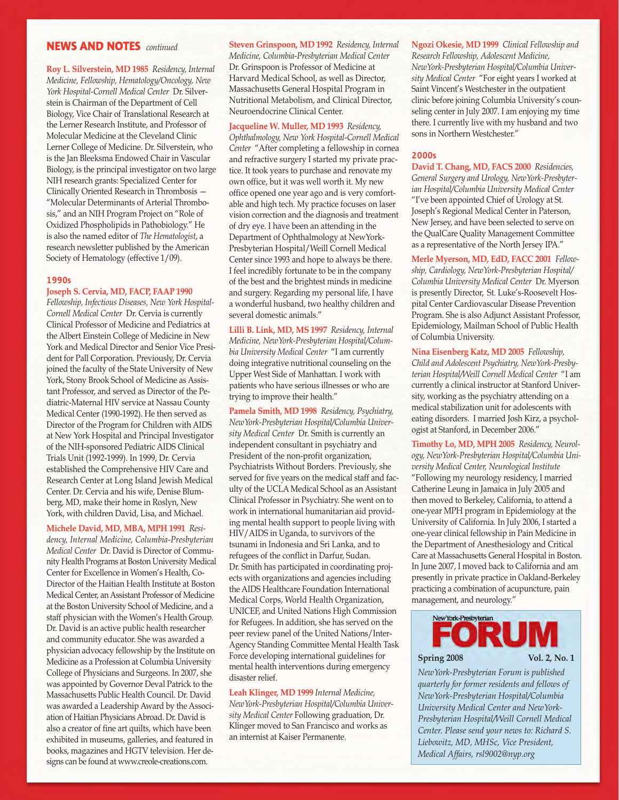### **NEWS AND NOTES** *continued*

**Roy L. Silverstein, MD 1985** *Residency, Internal Medicine, Fellowship, Hematology/Oncology, New York Hospital-Cornell Medical Center* Dr. Silverstein is Chairman of the Department of Cell Biology, Vice Chair of Translational Research at the Lerner Research Institute, and Professor of Molecular Medicine at the Cleveland Clinic Lerner College of Medicine. Dr. Silverstein, who is the Jan Bleeksma Endowed Chair in Vascular Biology, is the principal investigator on two large NIH research grants: Specialized Center for Clinically Oriented Research in Thrombosis — "Molecular Determinants of Arterial Thrombosis," and an NIH Program Project on "Role of Oxidized Phospholipids in Pathobiology." He is also the named editor of *The Hematologist*, a research newsletter published by the American Society of Hematology (effective 1/09).

### 1990s

### **Joseph S. Cervia, MD, FACP, FAAP 1990**

*Fellowship, Infectious Diseases, New York Hospital-Cornell Medical Center* Dr. Cervia is currently Clinical Professor of Medicine and Pediatrics at the Albert Einstein College of Medicine in New York and Medical Director and Senior Vice President for Pall Corporation. Previously, Dr. Cervia joined the faculty of the State University of New York, Stony Brook School of Medicine as Assistant Professor, and served as Director of the Pediatric-Maternal HIV service at Nassau County Medical Center (1990-1992). He then served as Director of the Program for Children with AIDS at New York Hospital and Principal Investigator of the NIH-sponsored Pediatric AIDS Clinical Trials Unit (1992-1999). In 1999, Dr. Cervia established the Comprehensive HIV Care and Research Center at Long Island Jewish Medical Center. Dr. Cervia and his wife, Denise Blumberg, MD, make their home in Roslyn, New York, with children David, Lisa, and Michael.

### **Michele David, MD, MBA, MPH 1991** *Resi-*

*dency, Internal Medicine, Columbia-Presbyterian Medical Center* Dr. David is Director of Community Health Programs at Boston University Medical Center for Excellence in Women's Health, Co-Director of the Haitian Health Institute at Boston Medical Center, an Assistant Professor of Medicine at the Boston University School of Medicine, and a staff physician with the Women's Health Group. Dr. David is an active public health researcher and community educator. She was awarded a physician advocacy fellowship by the Institute on Medicine as a Profession at Columbia University College of Physicians and Surgeons. In 2007, she was appointed by Governor Deval Patrick to the Massachusetts Public Health Council. Dr. David was awarded a Leadership Award by the Association of Haitian Physicians Abroad. Dr. David is also a creator of fine art quilts, which have been exhibited in museums, galleries, and featured in books, magazines and HGTV television. Her designs can be found at www.creole-creations.com.

**Steven Grinspoon, MD 1992** *Residency, Internal Medicine, Columbia-Presbyterian Medical Center* Dr. Grinspoon is Professor of Medicine at Harvard Medical School, as well as Director, Massachusetts General Hospital Program in Nutritional Metabolism, and Clinical Director, Neuroendocrine Clinical Center.

**Jacqueline W. Muller, MD 1993** *Residency, Ophthalmology, New York Hospital-Cornell Medical Center* "After completing a fellowship in cornea and refractive surgery I started my private practice. It took years to purchase and renovate my own office, but it was well worth it. My new office opened one year ago and is very comfortable and high tech. My practice focuses on laser vision correction and the diagnosis and treatment of dry eye. I have been an attending in the Department of Ophthalmology at NewYork-Presbyterian Hospital/Weill Cornell Medical Center since 1993 and hope to always be there. I feel incredibly fortunate to be in the company of the best and the brightest minds in medicine and surgery. Regarding my personal life, I have a wonderful husband, two healthy children and several domestic animals."

**Lilli B. Link, MD, MS 1997** *Residency, Internal Medicine, NewYork-Presbyterian Hospital/Columbia University Medical Center* "I am currently doing integrative nutritional counseling on the Upper West Side of Manhattan. I work with patients who have serious illnesses or who are trying to improve their health."

**Pamela Smith, MD 1998** *Residency, Psychiatry, NewYork-Presbyterian Hospital/Columbia University Medical Center* Dr. Smith is currently an independent consultant in psychiatry and President of the non-profit organization, Psychiatrists Without Borders. Previously, she served for five years on the medical staff and faculty of the UCLA Medical School as an Assistant Clinical Professor in Psychiatry. She went on to work in international humanitarian aid providing mental health support to people living with HIV/AIDS in Uganda, to survivors of the tsunami in Indonesia and Sri Lanka, and to refugees of the conflict in Darfur, Sudan. Dr. Smith has participated in coordinating projects with organizations and agencies including the AIDS Healthcare Foundation International Medical Corps, World Health Organization, UNICEF, and United Nations High Commission for Refugees. In addition, she has served on the peer review panel of the United Nations/Inter-Agency Standing Committee Mental Health Task Force developing international guidelines for mental health interventions during emergency disaster relief.

**Leah Klinger, MD 1999** *Internal Medicine, NewYork-Presbyterian Hospital/Columbia University Medical Center* Following graduation, Dr. Klinger moved to San Francisco and works as an internist at Kaiser Permanente.

**Ngozi Okesie, MD 1999** *Clinical Fellowship and Research Fellowship, Adolescent Medicine, NewYork-Presbyterian Hospital/Columbia University Medical Center* "For eight years I worked at Saint Vincent's Westchester in the outpatient clinic before joining Columbia University's counseling center in July 2007. I am enjoying my time there. I currently live with my husband and two sons in Northern Westchester."

### 2000s

**David T. Chang, MD, FACS 2000** *Residencies, General Surgery and Urology, NewYork-Presbyterian Hospital/Columbia University Medical Center* "I've been appointed Chief of Urology at St. Joseph's Regional Medical Center in Paterson, New Jersey, and have been selected to serve on the QualCare Quality Management Committee as a representative of the North Jersey IPA."

**Merle Myerson, MD, EdD, FACC 2001** *Fellowship, Cardiology, NewYork-Presbyterian Hospital/ Columbia University Medical Center* Dr. Myerson is presently Director, St. Luke's-Roosevelt Hospital Center Cardiovascular Disease Prevention Program. She is also Adjunct Assistant Professor, Epidemiology, Mailman School of Public Health of Columbia University.

**Nina Eisenberg Katz, MD 2005** *Fellowship, Child and Adolescent Psychiatry, NewYork-Presbyterian Hospital/Weill Cornell Medical Center* "I am currently a clinical instructor at Stanford University, working as the psychiatry attending on a medical stabilization unit for adolescents with eating disorders. I married Josh Kirz, a psychologist at Stanford, in December 2006."

**Timothy Lo, MD, MPH 2005** *Residency, Neurology, NewYork-Presbyterian Hospital/Columbia University Medical Center, Neurological Institute* "Following my neurology residency, I married Catherine Leung in Jamaica in July 2005 and then moved to Berkeley, California, to attend a one-year MPH program in Epidemiology at the University of California. In July 2006, I started a one-year clinical fellowship in Pain Medicine in the Department of Anesthesiology and Critical Care at Massachusetts General Hospital in Boston. In June 2007, I moved back to California and am presently in private practice in Oakland-Berkeley practicing a combination of acupuncture, pain management, and neurology."

## New York-Presbyterian ORU

**Spring 2008 Vol. 2, No. 1**

*NewYork-Presbyterian Forum is published quarterly for former residents and fellows of NewYork-Presbyterian Hospital/Columbia University Medical Center and NewYork-Presbyterian Hospital/Weill Cornell Medical Center. Please send your news to: Richard S. Liebowitz, MD, MHSc, Vice President, Medical Affairs, rsl9002@nyp.org*